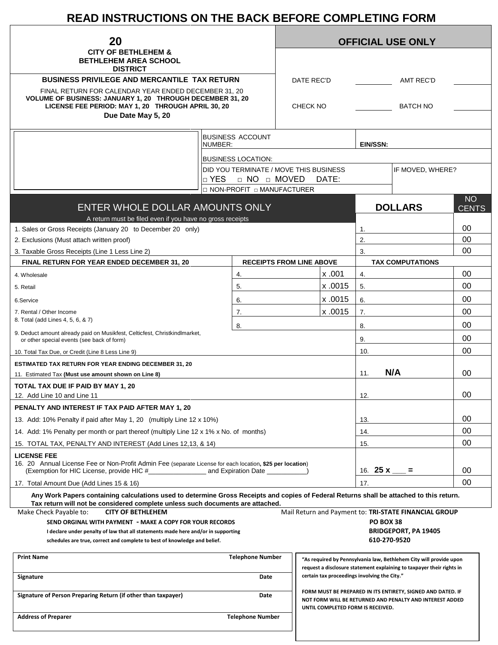# **READ INSTRUCTIONS ON THE BACK BEFORE COMPLETING FORM**

| 20<br><b>CITY OF BETHLEHEM &amp;</b><br><b>BETHLEHEM AREA SCHOOL</b>                                                                     |                                                             |  | <b>OFFICIAL USE ONLY</b>           |         |                                                                                                                                                              |                                                                    |              |  |  |
|------------------------------------------------------------------------------------------------------------------------------------------|-------------------------------------------------------------|--|------------------------------------|---------|--------------------------------------------------------------------------------------------------------------------------------------------------------------|--------------------------------------------------------------------|--------------|--|--|
|                                                                                                                                          |                                                             |  |                                    |         |                                                                                                                                                              |                                                                    |              |  |  |
| <b>DISTRICT</b>                                                                                                                          |                                                             |  |                                    |         |                                                                                                                                                              |                                                                    |              |  |  |
| <b>BUSINESS PRIVILEGE AND MERCANTILE TAX RETURN</b>                                                                                      |                                                             |  | DATE REC'D<br><b>AMT REC'D</b>     |         |                                                                                                                                                              |                                                                    |              |  |  |
| FINAL RETURN FOR CALENDAR YEAR ENDED DECEMBER 31, 20                                                                                     |                                                             |  |                                    |         |                                                                                                                                                              |                                                                    |              |  |  |
| VOLUME OF BUSINESS: JANUARY 1, 20 THROUGH DECEMBER 31, 20<br>LICENSE FEE PERIOD: MAY 1, 20 THROUGH APRIL 30, 20                          |                                                             |  | <b>CHECK NO</b><br><b>BATCH NO</b> |         |                                                                                                                                                              |                                                                    |              |  |  |
| Due Date May 5, 20                                                                                                                       |                                                             |  |                                    |         |                                                                                                                                                              |                                                                    |              |  |  |
|                                                                                                                                          | <b>BUSINESS ACCOUNT</b>                                     |  |                                    |         |                                                                                                                                                              |                                                                    |              |  |  |
|                                                                                                                                          | NUMBER:                                                     |  |                                    |         | EIN/SSN:                                                                                                                                                     |                                                                    |              |  |  |
|                                                                                                                                          | <b>BUSINESS LOCATION:</b>                                   |  |                                    |         |                                                                                                                                                              |                                                                    |              |  |  |
|                                                                                                                                          | DID YOU TERMINATE / MOVE THIS BUSINESS                      |  |                                    |         |                                                                                                                                                              | IF MOVED, WHERE?                                                   |              |  |  |
|                                                                                                                                          | □ YES<br>□ NO □ MOVED<br><b>D NON-PROFIT D MANUFACTURER</b> |  |                                    | DATE:   |                                                                                                                                                              |                                                                    |              |  |  |
|                                                                                                                                          |                                                             |  |                                    |         |                                                                                                                                                              |                                                                    | <b>NO</b>    |  |  |
| ENTER WHOLE DOLLAR AMOUNTS ONLY                                                                                                          |                                                             |  |                                    |         |                                                                                                                                                              | <b>DOLLARS</b>                                                     | <b>CENTS</b> |  |  |
| A return must be filed even if you have no gross receipts                                                                                |                                                             |  |                                    |         |                                                                                                                                                              |                                                                    | 00           |  |  |
| 1. Sales or Gross Receipts (January 20 to December 20 only)<br>2. Exclusions (Must attach written proof)                                 |                                                             |  |                                    |         | 1.<br>2.                                                                                                                                                     |                                                                    | 00           |  |  |
| 3. Taxable Gross Receipts (Line 1 Less Line 2)                                                                                           |                                                             |  |                                    |         | 3.                                                                                                                                                           |                                                                    | 00           |  |  |
| <b>FINAL RETURN FOR YEAR ENDED DECEMBER 31, 20</b>                                                                                       | <b>RECEIPTS FROM LINE ABOVE</b>                             |  |                                    |         |                                                                                                                                                              | <b>TAX COMPUTATIONS</b>                                            |              |  |  |
| 4. Wholesale                                                                                                                             | 4.                                                          |  |                                    | x.001   | 4.                                                                                                                                                           |                                                                    | 00           |  |  |
| 5. Retail                                                                                                                                | 5.                                                          |  |                                    | x.0015  | 5.                                                                                                                                                           |                                                                    | 00           |  |  |
| 6.Service                                                                                                                                | 6.                                                          |  |                                    | x .0015 | 6.                                                                                                                                                           |                                                                    | 00           |  |  |
| 7. Rental / Other Income                                                                                                                 | 7.                                                          |  |                                    | x .0015 | 7.                                                                                                                                                           |                                                                    | 00           |  |  |
| 8. Total (add Lines 4, 5, 6, & 7)                                                                                                        | 8.                                                          |  |                                    |         | 8.                                                                                                                                                           |                                                                    | 00           |  |  |
| 9. Deduct amount already paid on Musikfest, Celticfest, Christkindlmarket,<br>or other special events (see back of form)                 |                                                             |  |                                    |         | 9.                                                                                                                                                           |                                                                    | 00           |  |  |
| 10. Total Tax Due, or Credit (Line 8 Less Line 9)                                                                                        |                                                             |  |                                    |         | 10.                                                                                                                                                          |                                                                    | 00           |  |  |
| <b>ESTIMATED TAX RETURN FOR YEAR ENDING DECEMBER 31, 20</b>                                                                              |                                                             |  |                                    |         |                                                                                                                                                              |                                                                    |              |  |  |
| 11. Estimated Tax (Must use amount shown on Line 8)                                                                                      |                                                             |  |                                    |         | 11.                                                                                                                                                          | N/A                                                                | 00           |  |  |
| TOTAL TAX DUE IF PAID BY MAY 1, 20                                                                                                       |                                                             |  |                                    |         |                                                                                                                                                              |                                                                    |              |  |  |
| 12. Add Line 10 and Line 11                                                                                                              |                                                             |  |                                    |         | 12.                                                                                                                                                          |                                                                    | 00           |  |  |
| PENALTY AND INTEREST IF TAX PAID AFTER MAY 1, 20                                                                                         |                                                             |  |                                    |         |                                                                                                                                                              |                                                                    |              |  |  |
| 13. Add: 10% Penalty if paid after May 1, 20 (multiply Line 12 x 10%)                                                                    |                                                             |  |                                    |         | 13.                                                                                                                                                          |                                                                    | 00           |  |  |
| 14. Add: 1% Penalty per month or part thereof (multiply Line 12 x 1% x No. of months)                                                    |                                                             |  |                                    |         | 14.                                                                                                                                                          |                                                                    | 00           |  |  |
| 15. TOTAL TAX, PENALTY AND INTEREST (Add Lines 12,13, & 14)                                                                              |                                                             |  |                                    |         | 15.                                                                                                                                                          |                                                                    | $00\,$       |  |  |
| <b>LICENSE FEE</b><br>16. 20 Annual License Fee or Non-Profit Admin Fee (separate License for each location, \$25 per location)          |                                                             |  |                                    |         | 16. <b>25 x</b>                                                                                                                                              | Ξ.                                                                 | 00           |  |  |
| 17. Total Amount Due (Add Lines 15 & 16)                                                                                                 |                                                             |  |                                    | 17.     |                                                                                                                                                              |                                                                    | 00           |  |  |
| Any Work Papers containing calculations used to determine Gross Receipts and copies of Federal Returns shall be attached to this return. |                                                             |  |                                    |         |                                                                                                                                                              |                                                                    |              |  |  |
| Tax return will not be considered complete unless such documents are attached.<br>Make Check Payable to:<br><b>CITY OF BETHLEHEM</b>     |                                                             |  |                                    |         |                                                                                                                                                              | Mail Return and Payment to: TRI-STATE FINANCIAL GROUP              |              |  |  |
| SEND ORGINAL WITH PAYMENT - MAKE A COPY FOR YOUR RECORDS                                                                                 |                                                             |  |                                    |         | <b>PO BOX 38</b>                                                                                                                                             |                                                                    |              |  |  |
| I declare under penalty of law that all statements made here and/or in supporting                                                        |                                                             |  |                                    |         |                                                                                                                                                              | <b>BRIDGEPORT, PA 19405</b>                                        |              |  |  |
| schedules are true, correct and complete to best of knowledge and belief.                                                                |                                                             |  |                                    |         |                                                                                                                                                              | 610-270-9520                                                       |              |  |  |
| <b>Print Name</b>                                                                                                                        | <b>Telephone Number</b>                                     |  |                                    |         |                                                                                                                                                              | "As required by Pennsylvania law, Bethlehem City will provide upon |              |  |  |
| Signature                                                                                                                                | Date                                                        |  |                                    |         | request a disclosure statement explaining to taxpayer their rights in<br>certain tax proceedings involving the City."                                        |                                                                    |              |  |  |
| Signature of Person Preparing Return (if other than taxpayer)<br>Date                                                                    |                                                             |  |                                    |         | FORM MUST BE PREPARED IN ITS ENTIRETY, SIGNED AND DATED. IF<br>NOT FORM WILL BE RETURNED AND PENALTY AND INTEREST ADDED<br>UNTIL COMPLETED FORM IS RECEIVED. |                                                                    |              |  |  |
| <b>Address of Preparer</b><br><b>Telephone Number</b>                                                                                    |                                                             |  |                                    |         |                                                                                                                                                              |                                                                    |              |  |  |